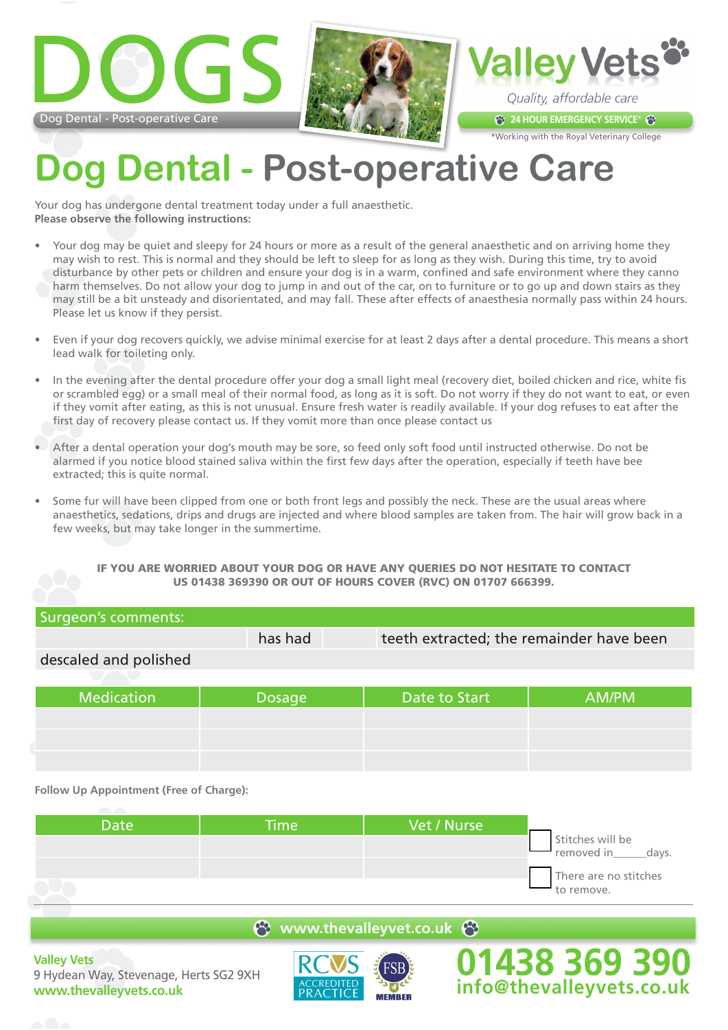





\*Working with the Royal Veterinary College

## **Dog Dental - Post-operative Care**

Your dog has undergone dental treatment today under a full anaesthetic. **Please observe the following instructions:**

- Your dog may be quiet and sleepy for 24 hours or more as a result of the general anaesthetic and on arriving home they may wish to rest. This is normal and they should be left to sleep for as long as they wish. During this time, try to avoid disturbance by other pets or children and ensure your dog is in a warm, confined and safe environment where they canno harm themselves. Do not allow your dog to jump in and out of the car, on to furniture or to go up and down stairs as they may still be a bit unsteady and disorientated, and may fall. These after effects of anaesthesia normally pass within 24 hours. Please let us know if they persist.
- Even if your dog recovers quickly, we advise minimal exercise for at least 2 days after a dental procedure. This means a short lead walk for toileting only.
- In the evening after the dental procedure offer your dog a small light meal (recovery diet, boiled chicken and rice, white fis or scrambled egg) or a small meal of their normal food, as long as it is soft. Do not worry if they do not want to eat, or even if they vomit after eating, as this is not unusual. Ensure fresh water is readily available. If your dog refuses to eat after the first day of recovery please contact us. If they vomit more than once please contact us
- After a dental operation your dog's mouth may be sore, so feed only soft food until instructed otherwise. Do not be alarmed if you notice blood stained saliva within the first few days after the operation, especially if teeth have bee extracted; this is quite normal.
- Some fur will have been clipped from one or both front legs and possibly the neck. These are the usual areas where anaesthetics, sedations, drips and drugs are injected and where blood samples are taken from. The hair will grow back in a few weeks, but may take longer in the summertime.

## IF YOU ARE WORRIED ABOUT YOUR DOG OR HAVE ANY QUERIES DO NOT HESITATE TO CONTACT US 01438 369390 OR OUT OF HOURS COVER (RVC) ON 01707 666399.

| has had       | teeth extracted; the remainder have been |       |
|---------------|------------------------------------------|-------|
|               |                                          |       |
|               |                                          |       |
| <b>Dosage</b> | Date to Start                            | AM/PM |
|               |                                          |       |

**Follow Up Appointment (Free of Charge):**

| Date <sup>1</sup> | <b>Time</b> | Vet / Nurse |                                          |
|-------------------|-------------|-------------|------------------------------------------|
|                   |             |             | Stitches will be<br>days.<br>removed in_ |
|                   |             |             | There are no stitches<br>to remove.      |

## **e** www.thevalleyvet.co.uk  $\Theta$

**Valley Vets** 9 Hydean Way, Stevenage, Herts SG2 9XH **www.thevalleyvets.co.uk**